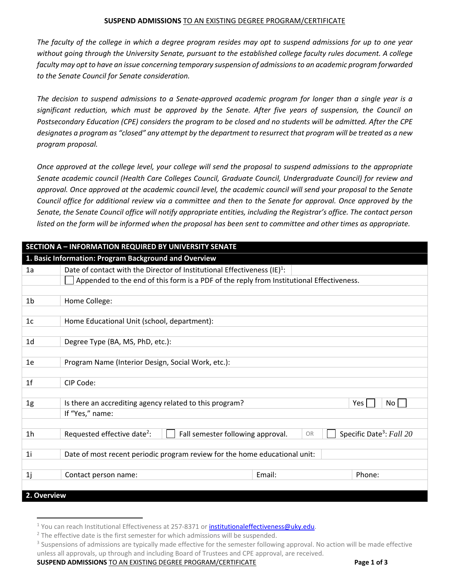## **SUSPEND ADMISSIONS** TO AN EXISTING DEGREE PROGRAM/CERTIFICATE

The faculty of the college in which a degree program resides may opt to suspend admissions for up to one year without going through the University Senate, pursuant to the established college faculty rules document. A college *faculty may opt to have an issue concerning temporary suspension of admissionsto an academic program forwarded to the Senate Council for Senate consideration.* 

The decision to suspend admissions to a Senate-approved academic program for longer than a single year is a significant reduction, which must be approved by the Senate. After five years of suspension, the Council on Postsecondary Education (CPE) considers the program to be closed and no students will be admitted. After the CPE designates a program as "closed" any attempt by the department to resurrect that program will be treated as a new *program proposal.*

Once approved at the college level, your college will send the proposal to suspend admissions to the appropriate *Senate academic council (Health Care Colleges Council, Graduate Council, Undergraduate Council) for review and* approval. Once approved at the academic council level, the academic council will send your proposal to the Senate Council office for additional review via a committee and then to the Senate for approval. Once approved by the Senate, the Senate Council office will notify appropriate entities, including the Registrar's office. The contact person listed on the form will be informed when the proposal has been sent to committee and other times as appropriate.

| <b>SECTION A - INFORMATION REQUIRED BY UNIVERSITY SENATE</b> |                                                                                          |        |                                      |  |  |
|--------------------------------------------------------------|------------------------------------------------------------------------------------------|--------|--------------------------------------|--|--|
| 1. Basic Information: Program Background and Overview        |                                                                                          |        |                                      |  |  |
| 1a                                                           | Date of contact with the Director of Institutional Effectiveness $(E)^1$ :               |        |                                      |  |  |
|                                                              | Appended to the end of this form is a PDF of the reply from Institutional Effectiveness. |        |                                      |  |  |
|                                                              |                                                                                          |        |                                      |  |  |
| 1 <sub>b</sub>                                               | Home College:                                                                            |        |                                      |  |  |
|                                                              |                                                                                          |        |                                      |  |  |
| 1c                                                           | Home Educational Unit (school, department):                                              |        |                                      |  |  |
|                                                              |                                                                                          |        |                                      |  |  |
| 1 <sub>d</sub>                                               | Degree Type (BA, MS, PhD, etc.):                                                         |        |                                      |  |  |
|                                                              |                                                                                          |        |                                      |  |  |
| 1e                                                           | Program Name (Interior Design, Social Work, etc.):                                       |        |                                      |  |  |
|                                                              |                                                                                          |        |                                      |  |  |
| 1 <sub>f</sub>                                               | CIP Code:                                                                                |        |                                      |  |  |
|                                                              |                                                                                          |        |                                      |  |  |
| 1g                                                           | Is there an accrediting agency related to this program?                                  |        | No.<br><b>Yes</b>                    |  |  |
|                                                              | If "Yes," name:                                                                          |        |                                      |  |  |
|                                                              |                                                                                          |        |                                      |  |  |
| 1 <sub>h</sub>                                               | Requested effective date <sup>2</sup> :<br>Fall semester following approval.             | OR     | Specific Date <sup>3</sup> : Fall 20 |  |  |
|                                                              |                                                                                          |        |                                      |  |  |
| 1 <sub>i</sub>                                               | Date of most recent periodic program review for the home educational unit:               |        |                                      |  |  |
|                                                              |                                                                                          |        |                                      |  |  |
| 1j                                                           | Contact person name:                                                                     | Email: | Phone:                               |  |  |
|                                                              |                                                                                          |        |                                      |  |  |
| 2. Overview                                                  |                                                                                          |        |                                      |  |  |

**SUSPEND ADMISSIONS** TO AN EXISTING DEGREE PROGRAM/CERTIFICATE **Page 1 of 3**

<sup>&</sup>lt;sup>1</sup> You can reach Institutional Effectiveness at 257-8371 or institutionaleffectiveness@uky.edu.

<sup>&</sup>lt;sup>2</sup> The effective date is the first semester for which admissions will be suspended.

<sup>&</sup>lt;sup>3</sup> Suspensions of admissions are typically made effective for the semester following approval. No action will be made effective unless all approvals, up through and including Board of Trustees and CPE approval, are received.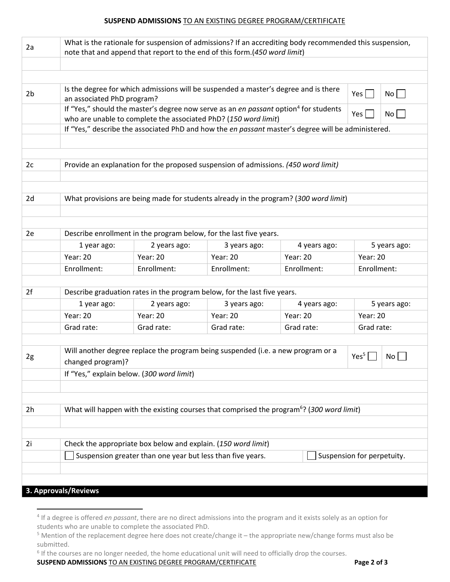## **SUSPEND ADMISSIONS** TO AN EXISTING DEGREE PROGRAM/CERTIFICATE

| 2a             | What is the rationale for suspension of admissions? If an accrediting body recommended this suspension,<br>note that and append that report to the end of this form.(450 word limit) |                                                               |                                                                          |                 |                 |              |  |
|----------------|--------------------------------------------------------------------------------------------------------------------------------------------------------------------------------------|---------------------------------------------------------------|--------------------------------------------------------------------------|-----------------|-----------------|--------------|--|
|                |                                                                                                                                                                                      |                                                               |                                                                          |                 |                 |              |  |
|                |                                                                                                                                                                                      |                                                               |                                                                          |                 |                 |              |  |
| 2 <sub>b</sub> | Is the degree for which admissions will be suspended a master's degree and is there<br>$No$    <br>$Yes$  <br>an associated PhD program?                                             |                                                               |                                                                          |                 |                 |              |  |
|                | If "Yes," should the master's degree now serve as an en passant option <sup>4</sup> for students<br>No<br>Yes  <br>who are unable to complete the associated PhD? (150 word limit)   |                                                               |                                                                          |                 |                 |              |  |
|                | If "Yes," describe the associated PhD and how the en passant master's degree will be administered.                                                                                   |                                                               |                                                                          |                 |                 |              |  |
|                |                                                                                                                                                                                      |                                                               |                                                                          |                 |                 |              |  |
|                |                                                                                                                                                                                      |                                                               |                                                                          |                 |                 |              |  |
| 2c             | Provide an explanation for the proposed suspension of admissions. (450 word limit)                                                                                                   |                                                               |                                                                          |                 |                 |              |  |
|                |                                                                                                                                                                                      |                                                               |                                                                          |                 |                 |              |  |
|                |                                                                                                                                                                                      |                                                               |                                                                          |                 |                 |              |  |
| 2d             | What provisions are being made for students already in the program? (300 word limit)                                                                                                 |                                                               |                                                                          |                 |                 |              |  |
|                |                                                                                                                                                                                      |                                                               |                                                                          |                 |                 |              |  |
|                |                                                                                                                                                                                      |                                                               |                                                                          |                 |                 |              |  |
| 2e             |                                                                                                                                                                                      |                                                               | Describe enrollment in the program below, for the last five years.       |                 |                 |              |  |
|                | 1 year ago:                                                                                                                                                                          | 2 years ago:                                                  | 3 years ago:                                                             | 4 years ago:    |                 | 5 years ago: |  |
|                | Year: 20                                                                                                                                                                             | <b>Year: 20</b>                                               | <b>Year: 20</b>                                                          | <b>Year: 20</b> | <b>Year: 20</b> |              |  |
|                | Enrollment:                                                                                                                                                                          | Enrollment:                                                   | Enrollment:                                                              | Enrollment:     | Enrollment:     |              |  |
|                |                                                                                                                                                                                      |                                                               |                                                                          |                 |                 |              |  |
| 2f             |                                                                                                                                                                                      |                                                               | Describe graduation rates in the program below, for the last five years. |                 |                 |              |  |
|                | 1 year ago:                                                                                                                                                                          | 2 years ago:                                                  | 3 years ago:<br>5 years ago:<br>4 years ago:                             |                 |                 |              |  |
|                | Year: 20                                                                                                                                                                             | <b>Year: 20</b>                                               | <b>Year: 20</b>                                                          | <b>Year: 20</b> | <b>Year: 20</b> |              |  |
|                | Grad rate:                                                                                                                                                                           | Grad rate:                                                    | Grad rate:                                                               | Grad rate:      | Grad rate:      |              |  |
|                |                                                                                                                                                                                      |                                                               |                                                                          |                 |                 |              |  |
| 2g             | Will another degree replace the program being suspended (i.e. a new program or a<br>Yes <sup>5</sup><br>No<br>changed program)?                                                      |                                                               |                                                                          |                 |                 |              |  |
|                | If "Yes," explain below. (300 word limit)                                                                                                                                            |                                                               |                                                                          |                 |                 |              |  |
|                |                                                                                                                                                                                      |                                                               |                                                                          |                 |                 |              |  |
|                |                                                                                                                                                                                      |                                                               |                                                                          |                 |                 |              |  |
| 2h             | What will happen with the existing courses that comprised the program <sup>6</sup> ? (300 word limit)                                                                                |                                                               |                                                                          |                 |                 |              |  |
|                |                                                                                                                                                                                      |                                                               |                                                                          |                 |                 |              |  |
|                |                                                                                                                                                                                      |                                                               |                                                                          |                 |                 |              |  |
| 2i             |                                                                                                                                                                                      | Check the appropriate box below and explain. (150 word limit) |                                                                          |                 |                 |              |  |
|                | Suspension greater than one year but less than five years.<br>Suspension for perpetuity.                                                                                             |                                                               |                                                                          |                 |                 |              |  |
|                |                                                                                                                                                                                      |                                                               |                                                                          |                 |                 |              |  |
|                |                                                                                                                                                                                      |                                                               |                                                                          |                 |                 |              |  |
|                | 3. Approvals/Reviews                                                                                                                                                                 |                                                               |                                                                          |                 |                 |              |  |

## **SUSPEND ADMISSIONS** TO AN EXISTING DEGREE PROGRAM/CERTIFICATE **Page 2 of 3**

<sup>4</sup> If a degree is offered *en passant*, there are no direct admissions into the program and it exists solely as an option for students who are unable to complete the associated PhD.

<sup>5</sup> Mention of the replacement degree here does not create/change it – the appropriate new/change forms must also be submitted.

<sup>&</sup>lt;sup>6</sup> If the courses are no longer needed, the home educational unit will need to officially drop the courses.